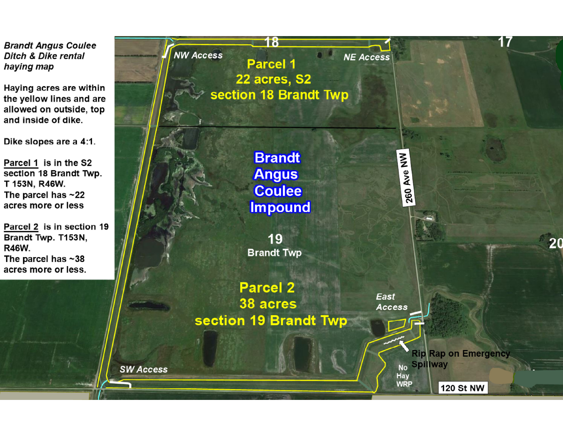**Brandt Angus Coulee Ditch & Dike rental** haying map

Haying acres are within the yellow lines and are allowed on outside, top and inside of dike.

Dike slopes are a 4:1.

Parcel 1 is in the S2 section 18 Brandt Twp. T 153N, R46W. The parcel has  $\sim$  22 acres more or less

Parcel 2 is in section 19 Brandt Twp. T153N, R46W. The parcel has  $~1$ 38 acres more or less.

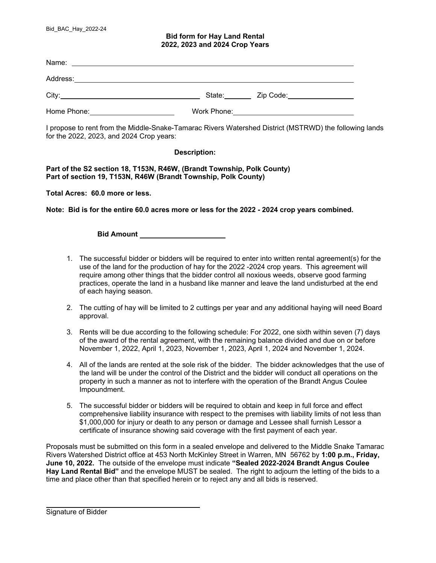## **Bid form for Hay Land Rental 2022, 2023 and 2024 Crop Years**

| Name:       |             |           |
|-------------|-------------|-----------|
| Address:    |             |           |
| City:       | State:      | Zip Code: |
| Home Phone: | Work Phone: |           |

I propose to rent from the Middle-Snake-Tamarac Rivers Watershed District (MSTRWD) the following lands for the 2022, 2023, and 2024 Crop years:

## **Description:**

**Part of the S2 section 18, T153N, R46W, (Brandt Township, Polk County) Part of section 19, T153N, R46W (Brandt Township, Polk County)** 

**Total Acres: 60.0 more or less.** 

**Note: Bid is for the entire 60.0 acres more or less for the 2022 - 2024 crop years combined.** 

**Bid Amount** 

- 1. The successful bidder or bidders will be required to enter into written rental agreement(s) for the use of the land for the production of hay for the 2022 -2024 crop years. This agreement will require among other things that the bidder control all noxious weeds, observe good farming practices, operate the land in a husband like manner and leave the land undisturbed at the end of each haying season.
- 2. The cutting of hay will be limited to 2 cuttings per year and any additional haying will need Board approval.
- 3. Rents will be due according to the following schedule: For 2022, one sixth within seven (7) days of the award of the rental agreement, with the remaining balance divided and due on or before November 1, 2022, April 1, 2023, November 1, 2023, April 1, 2024 and November 1, 2024.
- 4. All of the lands are rented at the sole risk of the bidder. The bidder acknowledges that the use of the land will be under the control of the District and the bidder will conduct all operations on the property in such a manner as not to interfere with the operation of the Brandt Angus Coulee Impoundment.
- 5. The successful bidder or bidders will be required to obtain and keep in full force and effect comprehensive liability insurance with respect to the premises with liability limits of not less than \$1,000,000 for injury or death to any person or damage and Lessee shall furnish Lessor a certificate of insurance showing said coverage with the first payment of each year.

Proposals must be submitted on this form in a sealed envelope and delivered to the Middle Snake Tamarac Rivers Watershed District office at 453 North McKinley Street in Warren, MN 56762 by **1:00 p.m., Friday, June 10, 2022.** The outside of the envelope must indicate **"Sealed 2022-2024 Brandt Angus Coulee Hay Land Rental Bid"** and the envelope MUST be sealed. The right to adjourn the letting of the bids to a time and place other than that specified herein or to reject any and all bids is reserved.

 $\overline{a}$